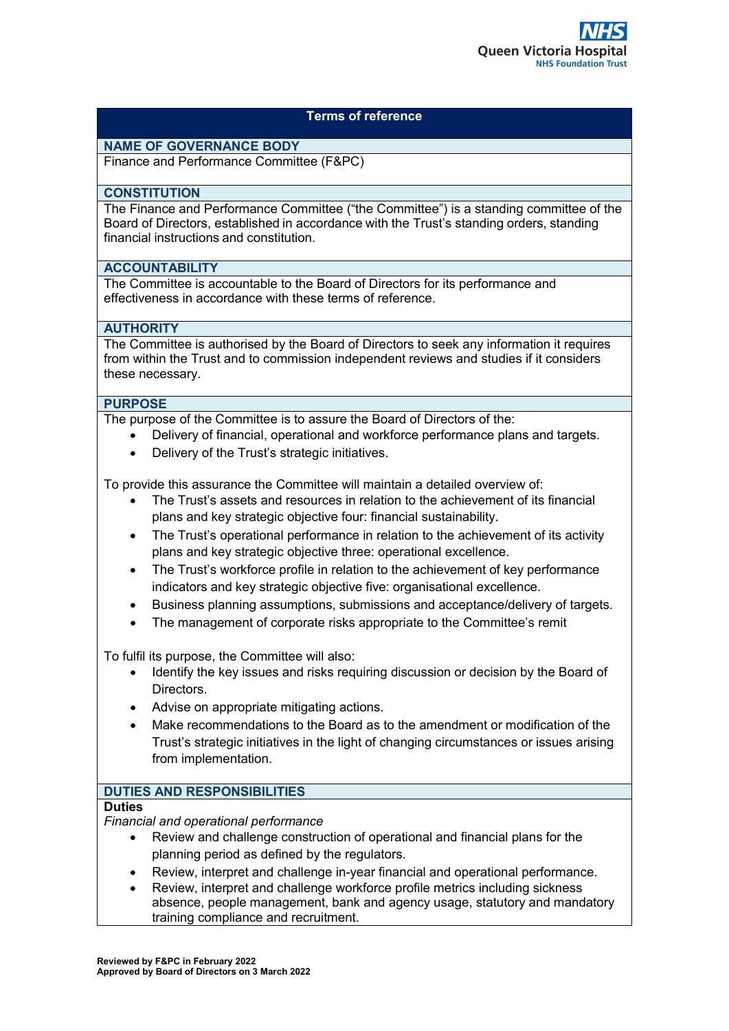# **Terms of reference**

# **NAME OF GOVERNANCE BODY**

Finance and Performance Committee (F&PC)

#### **CONSTITUTION**

The Finance and Performance Committee ("the Committee") is a standing committee of the Board of Directors, established in accordance with the Trust's standing orders, standing financial instructions and constitution.

### **ACCOUNTABILITY**

The Committee is accountable to the Board of Directors for its performance and effectiveness in accordance with these terms of reference.

### **AUTHORITY**

The Committee is authorised by the Board of Directors to seek any information it requires from within the Trust and to commission independent reviews and studies if it considers these necessary.

#### **PURPOSE**

The purpose of the Committee is to assure the Board of Directors of the:

- Delivery of financial, operational and workforce performance plans and targets.
- Delivery of the Trust's strategic initiatives.

To provide this assurance the Committee will maintain a detailed overview of:

- The Trust's assets and resources in relation to the achievement of its financial plans and key strategic objective four: financial sustainability.
- The Trust's operational performance in relation to the achievement of its activity plans and key strategic objective three: operational excellence.
- The Trust's workforce profile in relation to the achievement of key performance indicators and key strategic objective five: organisational excellence.
- Business planning assumptions, submissions and acceptance/delivery of targets.
- The management of corporate risks appropriate to the Committee's remit

To fulfil its purpose, the Committee will also:

- Identify the key issues and risks requiring discussion or decision by the Board of Directors.
- Advise on appropriate mitigating actions.
- Make recommendations to the Board as to the amendment or modification of the Trust's strategic initiatives in the light of changing circumstances or issues arising from implementation.

## **DUTIES AND RESPONSIBILITIES**

#### **Duties**

*Financial and operational performance*

- Review and challenge construction of operational and financial plans for the planning period as defined by the regulators.
- Review, interpret and challenge in-year financial and operational performance.
- Review, interpret and challenge workforce profile metrics including sickness absence, people management, bank and agency usage, statutory and mandatory training compliance and recruitment.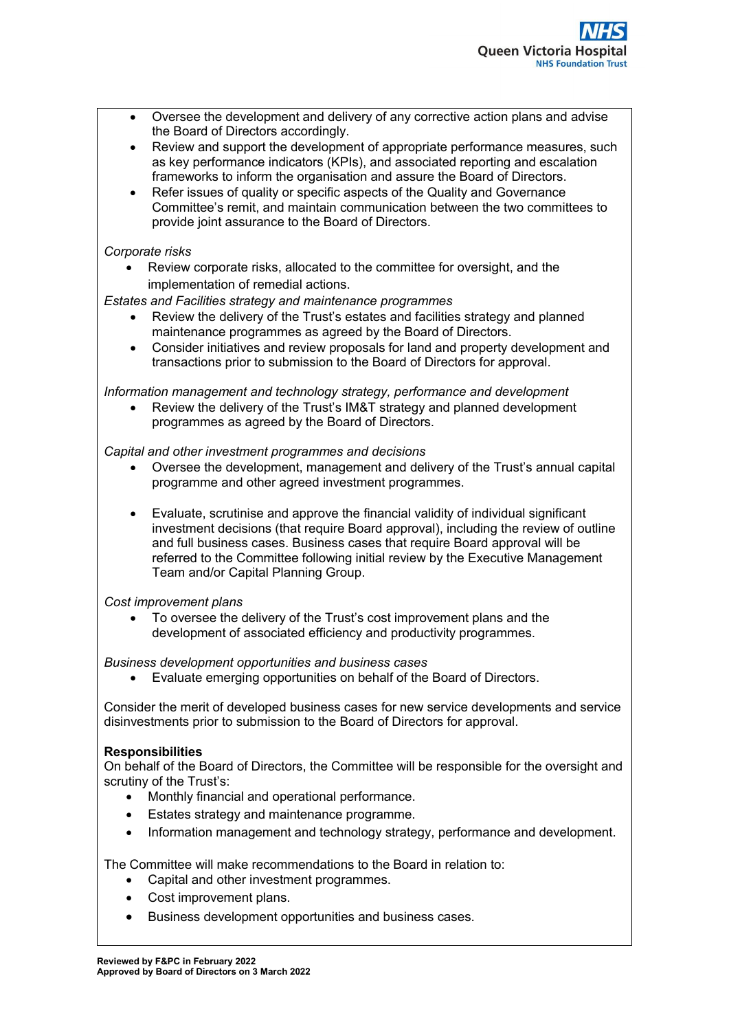- Oversee the development and delivery of any corrective action plans and advise the Board of Directors accordingly.
- Review and support the development of appropriate performance measures, such as key performance indicators (KPIs), and associated reporting and escalation frameworks to inform the organisation and assure the Board of Directors.
- Refer issues of quality or specific aspects of the Quality and Governance Committee's remit, and maintain communication between the two committees to provide joint assurance to the Board of Directors.

### *Corporate risks*

• Review corporate risks, allocated to the committee for oversight, and the implementation of remedial actions.

## *Estates and Facilities strategy and maintenance programmes*

- Review the delivery of the Trust's estates and facilities strategy and planned maintenance programmes as agreed by the Board of Directors.
- Consider initiatives and review proposals for land and property development and transactions prior to submission to the Board of Directors for approval.

#### *Information management and technology strategy, performance and development*

Review the delivery of the Trust's IM&T strategy and planned development programmes as agreed by the Board of Directors.

### *Capital and other investment programmes and decisions*

- Oversee the development, management and delivery of the Trust's annual capital programme and other agreed investment programmes.
- Evaluate, scrutinise and approve the financial validity of individual significant investment decisions (that require Board approval), including the review of outline and full business cases. Business cases that require Board approval will be referred to the Committee following initial review by the Executive Management Team and/or Capital Planning Group.

#### *Cost improvement plans*

• To oversee the delivery of the Trust's cost improvement plans and the development of associated efficiency and productivity programmes.

#### *Business development opportunities and business cases*

• Evaluate emerging opportunities on behalf of the Board of Directors.

Consider the merit of developed business cases for new service developments and service disinvestments prior to submission to the Board of Directors for approval.

#### **Responsibilities**

On behalf of the Board of Directors, the Committee will be responsible for the oversight and scrutiny of the Trust's:

- Monthly financial and operational performance.
- Estates strategy and maintenance programme.
- Information management and technology strategy, performance and development.

The Committee will make recommendations to the Board in relation to:

- Capital and other investment programmes.
- Cost improvement plans.
- Business development opportunities and business cases.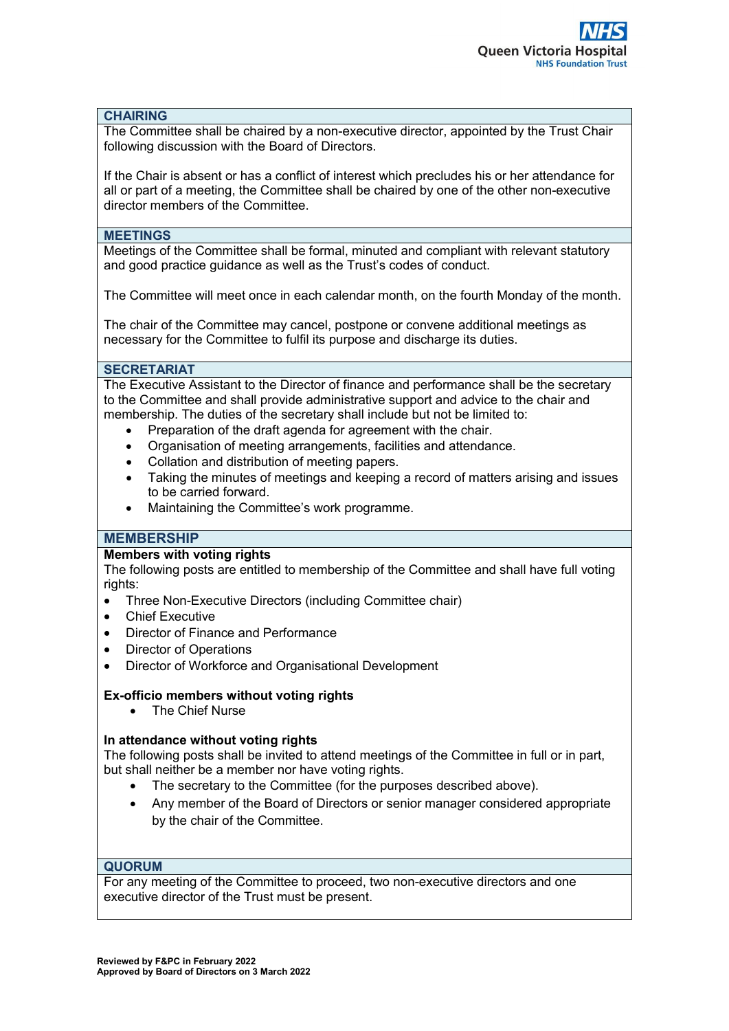#### **CHAIRING**

The Committee shall be chaired by a non-executive director, appointed by the Trust Chair following discussion with the Board of Directors.

If the Chair is absent or has a conflict of interest which precludes his or her attendance for all or part of a meeting, the Committee shall be chaired by one of the other non-executive director members of the Committee.

### **MEETINGS**

Meetings of the Committee shall be formal, minuted and compliant with relevant statutory and good practice guidance as well as the Trust's codes of conduct.

The Committee will meet once in each calendar month, on the fourth Monday of the month.

The chair of the Committee may cancel, postpone or convene additional meetings as necessary for the Committee to fulfil its purpose and discharge its duties.

#### **SECRETARIAT**

The Executive Assistant to the Director of finance and performance shall be the secretary to the Committee and shall provide administrative support and advice to the chair and membership. The duties of the secretary shall include but not be limited to:

- Preparation of the draft agenda for agreement with the chair.
- Organisation of meeting arrangements, facilities and attendance.
- Collation and distribution of meeting papers.
- Taking the minutes of meetings and keeping a record of matters arising and issues to be carried forward.
- Maintaining the Committee's work programme.

## **MEMBERSHIP**

#### **Members with voting rights**

The following posts are entitled to membership of the Committee and shall have full voting rights:

- Three Non-Executive Directors (including Committee chair)
- Chief Executive
- Director of Finance and Performance
- **Director of Operations**
- Director of Workforce and Organisational Development

#### **Ex-officio members without voting rights**

• The Chief Nurse

#### **In attendance without voting rights**

The following posts shall be invited to attend meetings of the Committee in full or in part, but shall neither be a member nor have voting rights.

- The secretary to the Committee (for the purposes described above).
- Any member of the Board of Directors or senior manager considered appropriate by the chair of the Committee.

#### **QUORUM**

For any meeting of the Committee to proceed, two non-executive directors and one executive director of the Trust must be present.